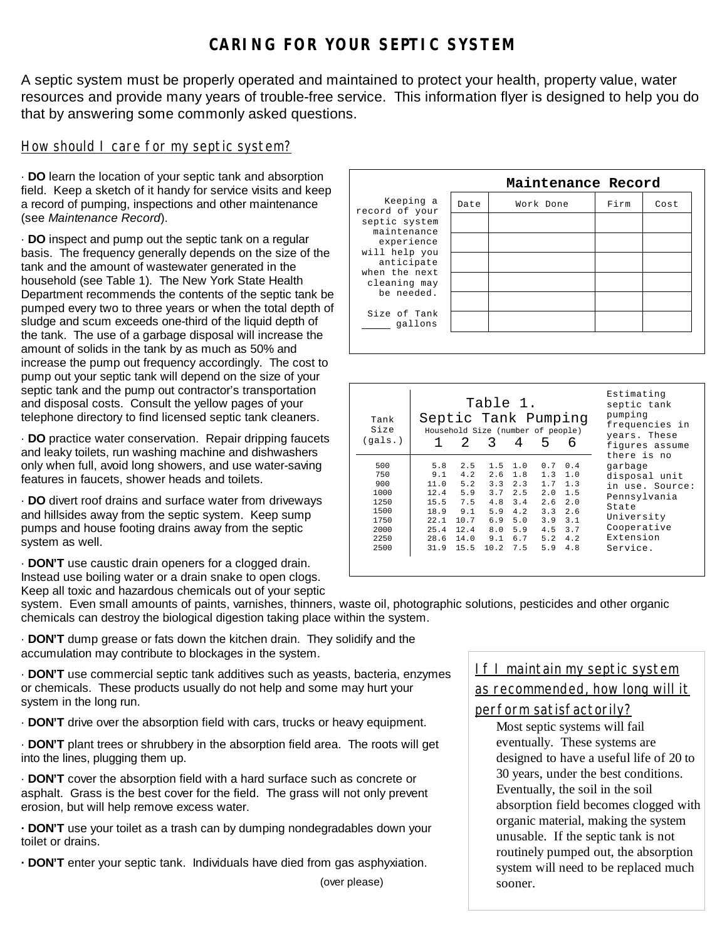## *CARING FOR YOUR SEPTIC SYSTEM*

A septic system must be properly operated and maintained to protect your health, property value, water resources and provide many years of trouble-free service. This information flyer is designed to help you do that by answering some commonly asked questions.

#### How should I care for my septic system?

· **DO** learn the location of your septic tank and absorption field. Keep a sketch of it handy for service visits and keep a record of pumping, inspections and other maintenance (see *Maintenance Record*).

· **DO** inspect and pump out the septic tank on a regular basis. The frequency generally depends on the size of the tank and the amount of wastewater generated in the household (see Table 1). The New York State Health Department recommends the contents of the septic tank be pumped every two to three years or when the total depth of sludge and scum exceeds one-third of the liquid depth of the tank. The use of a garbage disposal will increase the amount of solids in the tank by as much as 50% and increase the pump out frequency accordingly. The cost to pump out your septic tank will depend on the size of your septic tank and the pump out contractor's transportation and disposal costs. Consult the yellow pages of your telephone directory to find licensed septic tank cleaners.

· **DO** practice water conservation. Repair dripping faucets and leaky toilets, run washing machine and dishwashers only when full, avoid long showers, and use water-saving features in faucets, shower heads and toilets.

· **DO** divert roof drains and surface water from driveways and hillsides away from the septic system. Keep sump pumps and house footing drains away from the septic system as well.

· **DON'T** use caustic drain openers for a clogged drain. Instead use boiling water or a drain snake to open clogs.

Keep all toxic and hazardous chemicals out of your septic

Keeping a record of your septic system maintenance experience will help you anticipate when the next cleaning may be needed. Size of Tank gallons  **Maintenance Record** Date Work Done Firm Cost

| Tank<br>Size<br>(qals.)                                                   | Septic Tank Pumping                                        | 2                                                                                  | Table 1.<br>Household Size (number of people)<br>3                  | 4                                                                  | 5                                                                  | 6                                                                  | Estimating<br>septic tank<br>pumping<br>frequencies in<br>years. These<br>figures assume<br>there is no                    |  |  |
|---------------------------------------------------------------------------|------------------------------------------------------------|------------------------------------------------------------------------------------|---------------------------------------------------------------------|--------------------------------------------------------------------|--------------------------------------------------------------------|--------------------------------------------------------------------|----------------------------------------------------------------------------------------------------------------------------|--|--|
| 500<br>750<br>900<br>1000<br>1250<br>1500<br>1750<br>2000<br>2250<br>2500 | 5.8<br>9.1<br>15.5<br>18.9<br>22.1<br>25.4<br>28.6<br>31.9 | 2.5<br>4.2<br>11.0 5.2<br>$12.4$ 5.9<br>7.5<br>9.1<br>10.7<br>12.4<br>14.0<br>15.5 | 1.5<br>2.6<br>3.3<br>3.7<br>4.8<br>5.9<br>6.9<br>8.0<br>9.1<br>10.2 | 1.0<br>1.8<br>2.3<br>2.5<br>3.4<br>4.2<br>5.0<br>5.9<br>6.7<br>7.5 | 0.7<br>1.3<br>1.7<br>2.0<br>2.6<br>3.3<br>3.9<br>4.5<br>5.2<br>5.9 | 0.4<br>1.0<br>1.3<br>1.5<br>2.0<br>2.6<br>3.1<br>3.7<br>4.2<br>4.8 | qarbaqe<br>disposal unit<br>in use. Source:<br>Pennsylvania<br>State<br>University<br>Cooperative<br>Extension<br>Service. |  |  |

system. Even small amounts of paints, varnishes, thinners, waste oil, photographic solutions, pesticides and other organic chemicals can destroy the biological digestion taking place within the system.

· **DON'T** dump grease or fats down the kitchen drain. They solidify and the accumulation may contribute to blockages in the system.

· **DON'T** use commercial septic tank additives such as yeasts, bacteria, enzymes or chemicals. These products usually do not help and some may hurt your system in the long run.

· **DON'T** drive over the absorption field with cars, trucks or heavy equipment.

· **DON'T** plant trees or shrubbery in the absorption field area. The roots will get into the lines, plugging them up.

· **DON'T** cover the absorption field with a hard surface such as concrete or asphalt. Grass is the best cover for the field. The grass will not only prevent erosion, but will help remove excess water.

**· DON'T** use your toilet as a trash can by dumping nondegradables down your toilet or drains.

**· DON'T** enter your septic tank. Individuals have died from gas asphyxiation.

(over please)

If I maintain my septic system as recommended, how long will it

perform satisfactorily?

Most septic systems will fail eventually. These systems are designed to have a useful life of 20 to 30 years, under the best conditions. Eventually, the soil in the soil absorption field becomes clogged with organic material, making the system unusable. If the septic tank is not routinely pumped out, the absorption system will need to be replaced much sooner.